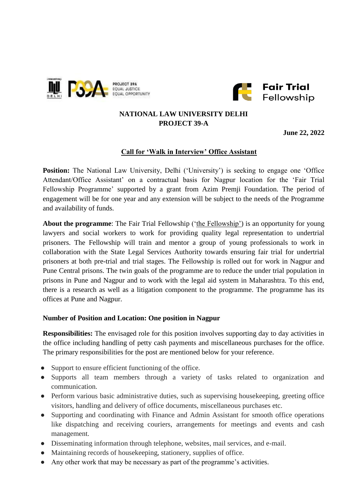



# **NATIONAL LAW UNIVERSITY DELHI PROJECT 39-A**

**June 22, 2022**

# **Call for 'Walk in Interview' Office Assistant**

**Position:** The National Law University, Delhi ('University') is seeking to engage one 'Office Attendant/Office Assistant' on a contractual basis for Nagpur location for the 'Fair Trial Fellowship Programme' supported by a grant from Azim Premji Foundation. The period of engagement will be for one year and any extension will be subject to the needs of the Programme and availability of funds.

About the programme: The Fair Trial Fellowship ('the Fellowship') is an opportunity for young lawyers and social workers to work for providing quality legal representation to undertrial prisoners. The Fellowship will train and mentor a group of young professionals to work in collaboration with the State Legal Services Authority towards ensuring fair trial for undertrial prisoners at both pre-trial and trial stages. The Fellowship is rolled out for work in Nagpur and Pune Central prisons. The twin goals of the programme are to reduce the under trial population in prisons in Pune and Nagpur and to work with the legal aid system in Maharashtra. To this end, there is a research as well as a litigation component to the programme. The programme has its offices at Pune and Nagpur.

#### **Number of Position and Location: One position in Nagpur**

**Responsibilities:** The envisaged role for this position involves supporting day to day activities in the office including handling of petty cash payments and miscellaneous purchases for the office. The primary responsibilities for the post are mentioned below for your reference.

- Support to ensure efficient functioning of the office.
- Supports all team members through a variety of tasks related to organization and communication.
- Perform various basic administrative duties, such as supervising housekeeping, greeting office visitors, handling and delivery of office documents, miscellaneous purchases etc.
- Supporting and coordinating with Finance and Admin Assistant for smooth office operations like dispatching and receiving couriers, arrangements for meetings and events and cash management.
- Disseminating information through telephone, websites, mail services, and e-mail.
- Maintaining records of housekeeping, stationery, supplies of office.
- Any other work that may be necessary as part of the programme's activities.